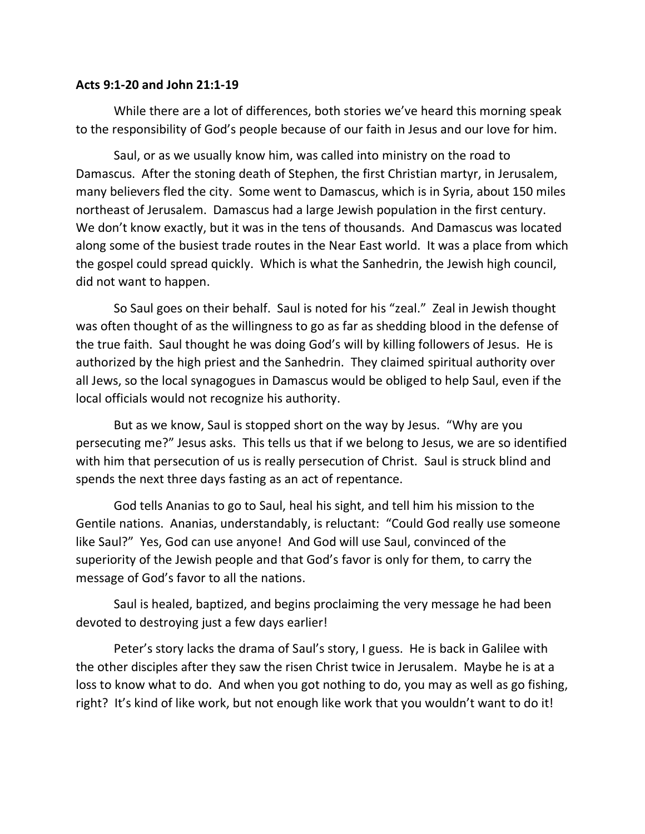## **Acts 9:1-20 and John 21:1-19**

While there are a lot of differences, both stories we've heard this morning speak to the responsibility of God's people because of our faith in Jesus and our love for him.

Saul, or as we usually know him, was called into ministry on the road to Damascus. After the stoning death of Stephen, the first Christian martyr, in Jerusalem, many believers fled the city. Some went to Damascus, which is in Syria, about 150 miles northeast of Jerusalem. Damascus had a large Jewish population in the first century. We don't know exactly, but it was in the tens of thousands. And Damascus was located along some of the busiest trade routes in the Near East world. It was a place from which the gospel could spread quickly. Which is what the Sanhedrin, the Jewish high council, did not want to happen.

So Saul goes on their behalf. Saul is noted for his "zeal." Zeal in Jewish thought was often thought of as the willingness to go as far as shedding blood in the defense of the true faith. Saul thought he was doing God's will by killing followers of Jesus. He is authorized by the high priest and the Sanhedrin. They claimed spiritual authority over all Jews, so the local synagogues in Damascus would be obliged to help Saul, even if the local officials would not recognize his authority.

But as we know, Saul is stopped short on the way by Jesus. "Why are you persecuting me?" Jesus asks. This tells us that if we belong to Jesus, we are so identified with him that persecution of us is really persecution of Christ. Saul is struck blind and spends the next three days fasting as an act of repentance.

God tells Ananias to go to Saul, heal his sight, and tell him his mission to the Gentile nations. Ananias, understandably, is reluctant: "Could God really use someone like Saul?" Yes, God can use anyone! And God will use Saul, convinced of the superiority of the Jewish people and that God's favor is only for them, to carry the message of God's favor to all the nations.

Saul is healed, baptized, and begins proclaiming the very message he had been devoted to destroying just a few days earlier!

Peter's story lacks the drama of Saul's story, I guess. He is back in Galilee with the other disciples after they saw the risen Christ twice in Jerusalem. Maybe he is at a loss to know what to do. And when you got nothing to do, you may as well as go fishing, right? It's kind of like work, but not enough like work that you wouldn't want to do it!